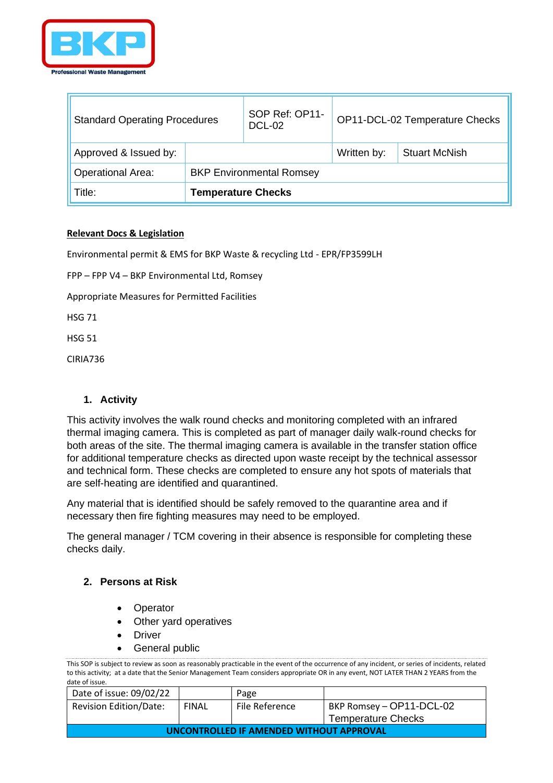

T.

| <b>Standard Operating Procedures</b> |                                 | SOP Ref: OP11-<br><b>DCL-02</b> | OP11-DCL-02 Temperature Checks |                      |
|--------------------------------------|---------------------------------|---------------------------------|--------------------------------|----------------------|
| Approved & Issued by:                |                                 |                                 | Written by:                    | <b>Stuart McNish</b> |
| <b>Operational Area:</b>             | <b>BKP Environmental Romsey</b> |                                 |                                |                      |
| Title:                               | <b>Temperature Checks</b>       |                                 |                                |                      |

#### **Relevant Docs & Legislation**

Environmental permit & EMS for BKP Waste & recycling Ltd - EPR/FP3599LH

FPP – FPP V4 – BKP Environmental Ltd, Romsey

Appropriate Measures for Permitted Facilities

HSG 71

HSG 51

CIRIA736

## **1. Activity**

This activity involves the walk round checks and monitoring completed with an infrared thermal imaging camera. This is completed as part of manager daily walk-round checks for both areas of the site. The thermal imaging camera is available in the transfer station office for additional temperature checks as directed upon waste receipt by the technical assessor and technical form. These checks are completed to ensure any hot spots of materials that are self-heating are identified and quarantined.

Any material that is identified should be safely removed to the quarantine area and if necessary then fire fighting measures may need to be employed.

The general manager / TCM covering in their absence is responsible for completing these checks daily.

## **2. Persons at Risk**

- **Operator**
- Other yard operatives
- **Driver**
- General public

| Date of issue: 09/02/22                  |              | Page           |                           |
|------------------------------------------|--------------|----------------|---------------------------|
| <b>Revision Edition/Date:</b>            | <b>FINAL</b> | File Reference | BKP Romsey - OP11-DCL-02  |
|                                          |              |                | <b>Temperature Checks</b> |
| UNCONTROLLED IF AMENDED WITHOUT APPROVAL |              |                |                           |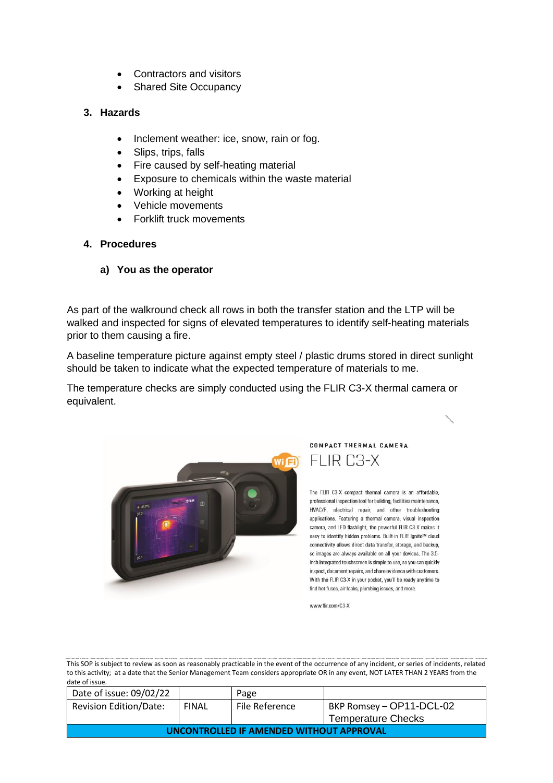- Contractors and visitors
- Shared Site Occupancy

# **3. Hazards**

- Inclement weather: ice, snow, rain or fog.
- Slips, trips, falls
- Fire caused by self-heating material
- Exposure to chemicals within the waste material
- Working at height
- Vehicle movements
- Forklift truck movements
- **4. Procedures**
	- **a) You as the operator**

As part of the walkround check all rows in both the transfer station and the LTP will be walked and inspected for signs of elevated temperatures to identify self-heating materials prior to them causing a fire.

A baseline temperature picture against empty steel / plastic drums stored in direct sunlight should be taken to indicate what the expected temperature of materials to me.

The temperature checks are simply conducted using the FLIR C3-X thermal camera or equivalent.



COMPACT THERMAL CAMERA FLIR C3-X

The FLIR C3-X compact thermal camera is an affordable, professional inspection tool for building, facilities maintenance, HVAC/R, electrical repair, and other troubleshooting applications. Featuring a thermal camera, visual inspection camera, and LED flashlight, the powerful FLIR C3-X makes it easy to identify hidden problems. Built-in FLIR Ignite™ cloud connectivity allows direct data transfer, storage, and backup, so images are always available on all your devices. The 3.5inch integrated touchscreen is simple to use, so you can quickly inspect, document repairs, and share evidence with customers. With the FLIR C3-X in your pocket, you'll be ready anytime to find hot fuses, air leaks, plumbing issues, and more.

www.flir.com/C3-X

| Date of issue: 09/02/22                  |              | Page           |                           |
|------------------------------------------|--------------|----------------|---------------------------|
| <b>Revision Edition/Date:</b>            | <b>FINAL</b> | File Reference | BKP Romsey - OP11-DCL-02  |
|                                          |              |                | <b>Temperature Checks</b> |
| UNCONTROLLED IF AMENDED WITHOUT APPROVAL |              |                |                           |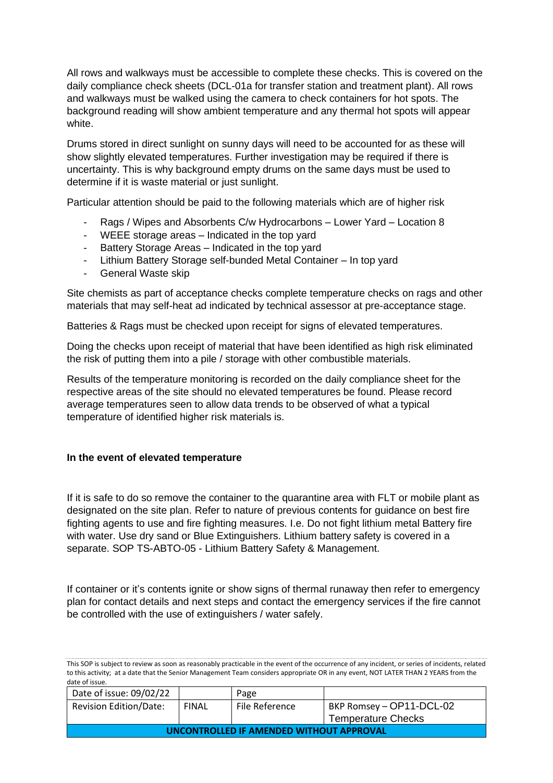All rows and walkways must be accessible to complete these checks. This is covered on the daily compliance check sheets (DCL-01a for transfer station and treatment plant). All rows and walkways must be walked using the camera to check containers for hot spots. The background reading will show ambient temperature and any thermal hot spots will appear white.

Drums stored in direct sunlight on sunny days will need to be accounted for as these will show slightly elevated temperatures. Further investigation may be required if there is uncertainty. This is why background empty drums on the same days must be used to determine if it is waste material or just sunlight.

Particular attention should be paid to the following materials which are of higher risk

- Rags / Wipes and Absorbents C/w Hydrocarbons Lower Yard Location 8
- WEEE storage areas Indicated in the top yard
- Battery Storage Areas Indicated in the top yard
- Lithium Battery Storage self-bunded Metal Container In top yard
- General Waste skip

Site chemists as part of acceptance checks complete temperature checks on rags and other materials that may self-heat ad indicated by technical assessor at pre-acceptance stage.

Batteries & Rags must be checked upon receipt for signs of elevated temperatures.

Doing the checks upon receipt of material that have been identified as high risk eliminated the risk of putting them into a pile / storage with other combustible materials.

Results of the temperature monitoring is recorded on the daily compliance sheet for the respective areas of the site should no elevated temperatures be found. Please record average temperatures seen to allow data trends to be observed of what a typical temperature of identified higher risk materials is.

#### **In the event of elevated temperature**

If it is safe to do so remove the container to the quarantine area with FLT or mobile plant as designated on the site plan. Refer to nature of previous contents for guidance on best fire fighting agents to use and fire fighting measures. I.e. Do not fight lithium metal Battery fire with water. Use dry sand or Blue Extinguishers. Lithium battery safety is covered in a separate. SOP TS-ABTO-05 - Lithium Battery Safety & Management.

If container or it's contents ignite or show signs of thermal runaway then refer to emergency plan for contact details and next steps and contact the emergency services if the fire cannot be controlled with the use of extinguishers / water safely.

| Date of issue: 09/02/22                  |              | Page           |                           |
|------------------------------------------|--------------|----------------|---------------------------|
| <b>Revision Edition/Date:</b>            | <b>FINAL</b> | File Reference | BKP Romsey - OP11-DCL-02  |
|                                          |              |                | <b>Temperature Checks</b> |
| UNCONTROLLED IF AMENDED WITHOUT APPROVAL |              |                |                           |